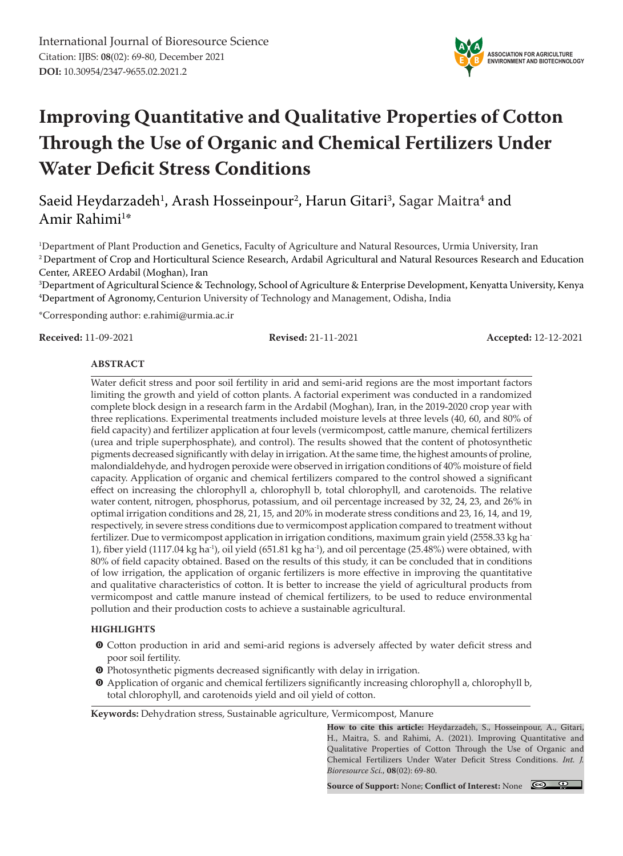

# **Improving Quantitative and Qualitative Properties of Cotton Through the Use of Organic and Chemical Fertilizers Under Water Deficit Stress Conditions**

Saeid Heydarzadeh<sup>1</sup>, Arash Hosseinpour<sup>2</sup>, Harun Gitari<sup>3</sup>, Sagar Maitra<sup>4</sup> and Amir Rahimi<sup>1</sup>\*

1 Department of Plant Production and Genetics, Faculty of Agriculture and Natural Resources, Urmia University, Iran 2 Department of Crop and Horticultural Science Research, Ardabil Agricultural and Natural Resources Research and Education Center, AREEO Ardabil (Moghan), Iran

3 Department of Agricultural Science & Technology, School of Agriculture & Enterprise Development, Kenyatta University, Kenya 4 Department of Agronomy,Centurion University of Technology and Management, Odisha, India

\*Corresponding author: e.rahimi@urmia.ac.ir

**Received:** 11-09-2021 **Revised:** 21-11-2021 **Accepted:** 12-12-2021

#### **ABSTRACT**

Water deficit stress and poor soil fertility in arid and semi-arid regions are the most important factors limiting the growth and yield of cotton plants. A factorial experiment was conducted in a randomized complete block design in a research farm in the Ardabil (Moghan), Iran, in the 2019-2020 crop year with three replications. Experimental treatments included moisture levels at three levels (40, 60, and 80% of field capacity) and fertilizer application at four levels (vermicompost, cattle manure, chemical fertilizers (urea and triple superphosphate), and control). The results showed that the content of photosynthetic pigments decreased significantly with delay in irrigation. At the same time, the highest amounts of proline, malondialdehyde, and hydrogen peroxide were observed in irrigation conditions of 40% moisture of field capacity. Application of organic and chemical fertilizers compared to the control showed a significant effect on increasing the chlorophyll a, chlorophyll b, total chlorophyll, and carotenoids. The relative water content, nitrogen, phosphorus, potassium, and oil percentage increased by 32, 24, 23, and 26% in optimal irrigation conditions and 28, 21, 15, and 20% in moderate stress conditions and 23, 16, 14, and 19, respectively, in severe stress conditions due to vermicompost application compared to treatment without fertilizer. Due to vermicompost application in irrigation conditions, maximum grain yield (2558.33 kg ha-1), fiber yield (1117.04 kg ha<sup>-1</sup>), oil yield (651.81 kg ha<sup>-1</sup>), and oil percentage (25.48%) were obtained, with 80% of field capacity obtained. Based on the results of this study, it can be concluded that in conditions of low irrigation, the application of organic fertilizers is more effective in improving the quantitative and qualitative characteristics of cotton. It is better to increase the yield of agricultural products from vermicompost and cattle manure instead of chemical fertilizers, to be used to reduce environmental pollution and their production costs to achieve a sustainable agricultural.

#### **HIGHLIGHTS**

- $\bullet$  Cotton production in arid and semi-arid regions is adversely affected by water deficit stress and poor soil fertility.
- $\bullet$  Photosynthetic pigments decreased significantly with delay in irrigation.
- m Application of organic and chemical fertilizers significantly increasing chlorophyll a, chlorophyll b, total chlorophyll, and carotenoids yield and oil yield of cotton.

**Keywords:** Dehydration stress, Sustainable agriculture, Vermicompost, Manure

**How to cite this article:** Heydarzadeh, S., Hosseinpour, A., Gitari, H., Maitra, S. and Rahimi, A. (2021). Improving Quantitative and Qualitative Properties of Cotton Through the Use of Organic and Chemical Fertilizers Under Water Deficit Stress Conditions. *Int. J. Bioresource Sci.,* **08**(02): 69-80.

**Source of Support:** None; **Conflict of Interest:** None

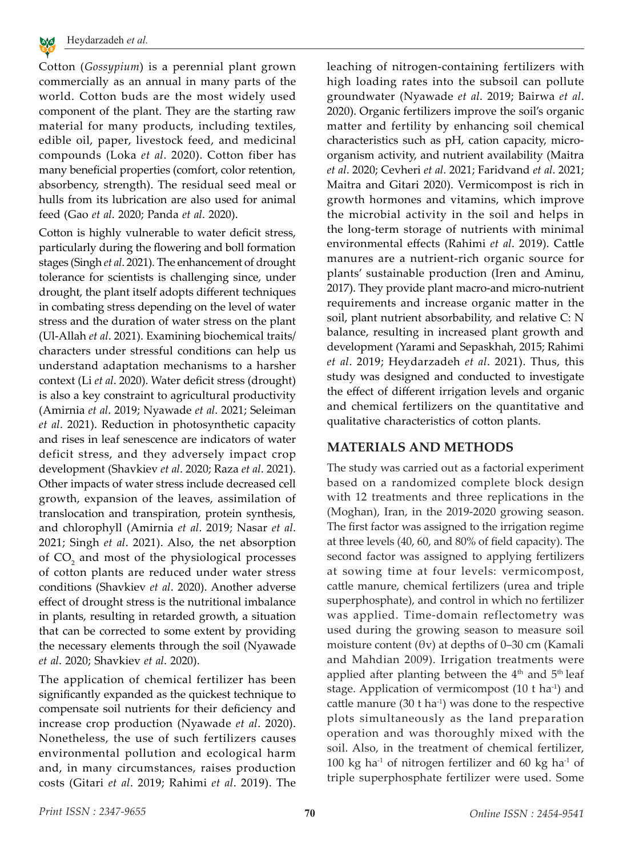

Cotton (*Gossypium*) is a perennial plant grown commercially as an annual in many parts of the world. Cotton buds are the most widely used component of the plant. They are the starting raw material for many products, including textiles, edible oil, paper, livestock feed, and medicinal compounds (Loka *et al*. 2020). Cotton fiber has many beneficial properties (comfort, color retention, absorbency, strength). The residual seed meal or hulls from its lubrication are also used for animal feed (Gao *et al*. 2020; Panda *et al*. 2020).

Cotton is highly vulnerable to water deficit stress, particularly during the flowering and boll formation stages (Singh *et al*. 2021). The enhancement of drought tolerance for scientists is challenging since, under drought, the plant itself adopts different techniques in combating stress depending on the level of water stress and the duration of water stress on the plant (Ul-Allah *et al*. 2021). Examining biochemical traits/ characters under stressful conditions can help us understand adaptation mechanisms to a harsher context (Li *et al*. 2020). Water deficit stress (drought) is also a key constraint to agricultural productivity (Amirnia *et al*. 2019; Nyawade *et al*. 2021; Seleiman *et al*. 2021). Reduction in photosynthetic capacity and rises in leaf senescence are indicators of water deficit stress, and they adversely impact crop development (Shavkiev *et al*. 2020; Raza *et al*. 2021). Other impacts of water stress include decreased cell growth, expansion of the leaves, assimilation of translocation and transpiration, protein synthesis, and chlorophyll (Amirnia *et al*. 2019; Nasar *et al*. 2021; Singh *et al*. 2021). Also, the net absorption of  $CO<sub>2</sub>$  and most of the physiological processes of cotton plants are reduced under water stress conditions (Shavkiev *et al*. 2020). Another adverse effect of drought stress is the nutritional imbalance in plants, resulting in retarded growth, a situation that can be corrected to some extent by providing the necessary elements through the soil (Nyawade *et al*. 2020; Shavkiev *et al*. 2020).

The application of chemical fertilizer has been significantly expanded as the quickest technique to compensate soil nutrients for their deficiency and increase crop production (Nyawade *et al*. 2020). Nonetheless, the use of such fertilizers causes environmental pollution and ecological harm and, in many circumstances, raises production costs (Gitari *et al*. 2019; Rahimi *et al*. 2019). The leaching of nitrogen-containing fertilizers with high loading rates into the subsoil can pollute groundwater (Nyawade *et al*. 2019; Bairwa *et al*. 2020). Organic fertilizers improve the soil's organic matter and fertility by enhancing soil chemical characteristics such as pH, cation capacity, microorganism activity, and nutrient availability (Maitra *et al*. 2020; Cevheri *et al*. 2021; Faridvand *et al*. 2021; Maitra and Gitari 2020). Vermicompost is rich in growth hormones and vitamins, which improve the microbial activity in the soil and helps in the long-term storage of nutrients with minimal environmental effects (Rahimi *et al*. 2019). Cattle manures are a nutrient-rich organic source for plants' sustainable production (Iren and Aminu, 2017). They provide plant macro-and micro-nutrient requirements and increase organic matter in the soil, plant nutrient absorbability, and relative C: N balance, resulting in increased plant growth and development (Yarami and Sepaskhah, 2015; Rahimi *et al*. 2019; Heydarzadeh *et al*. 2021). Thus, this study was designed and conducted to investigate the effect of different irrigation levels and organic and chemical fertilizers on the quantitative and qualitative characteristics of cotton plants.

# **MATERIALS AND METHODS**

The study was carried out as a factorial experiment based on a randomized complete block design with 12 treatments and three replications in the (Moghan), Iran, in the 2019-2020 growing season. The first factor was assigned to the irrigation regime at three levels (40, 60, and 80% of field capacity). The second factor was assigned to applying fertilizers at sowing time at four levels: vermicompost, cattle manure, chemical fertilizers (urea and triple superphosphate), and control in which no fertilizer was applied. Time-domain reflectometry was used during the growing season to measure soil moisture content ( $\theta$ v) at depths of 0–30 cm (Kamali and Mahdian 2009). Irrigation treatments were applied after planting between the  $4<sup>th</sup>$  and  $5<sup>th</sup>$  leaf stage. Application of vermicompost (10 t ha<sup>-1</sup>) and cattle manure  $(30 \text{ t ha}^{-1})$  was done to the respective plots simultaneously as the land preparation operation and was thoroughly mixed with the soil. Also, in the treatment of chemical fertilizer, 100 kg ha<sup>-1</sup> of nitrogen fertilizer and 60 kg ha<sup>-1</sup> of triple superphosphate fertilizer were used. Some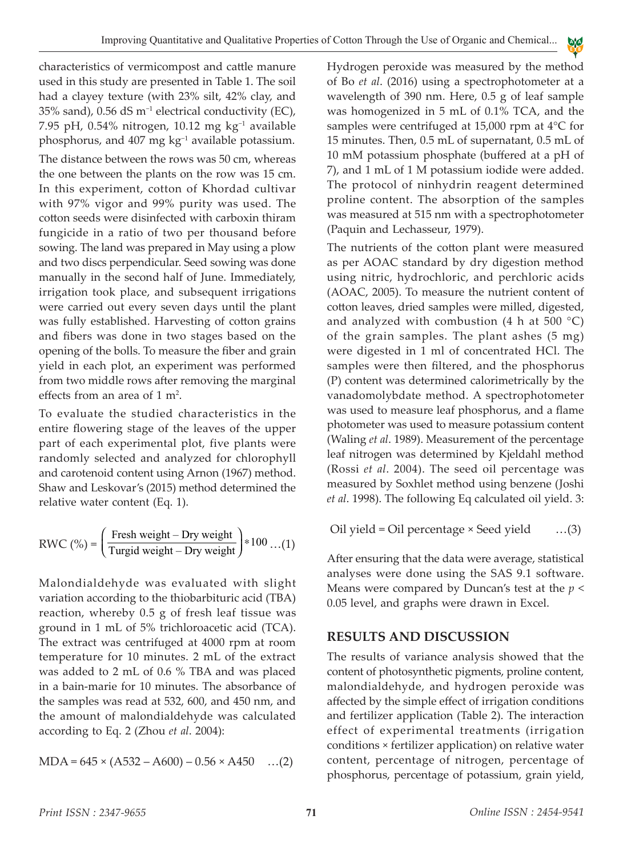characteristics of vermicompost and cattle manure used in this study are presented in Table 1. The soil had a clayey texture (with 23% silt, 42% clay, and 35% sand), 0.56 dS m−1 electrical conductivity (EC), 7.95 pH, 0.54% nitrogen, 10.12 mg kg−1 available phosphorus, and 407 mg kg<sup>-1</sup> available potassium. The distance between the rows was 50 cm, whereas the one between the plants on the row was 15 cm. In this experiment, cotton of Khordad cultivar with 97% vigor and 99% purity was used. The cotton seeds were disinfected with carboxin thiram fungicide in a ratio of two per thousand before sowing. The land was prepared in May using a plow and two discs perpendicular. Seed sowing was done manually in the second half of June. Immediately, irrigation took place, and subsequent irrigations were carried out every seven days until the plant was fully established. Harvesting of cotton grains and fibers was done in two stages based on the opening of the bolls. To measure the fiber and grain yield in each plot, an experiment was performed from two middle rows after removing the marginal effects from an area of  $1 \text{ m}^2$ .

To evaluate the studied characteristics in the entire flowering stage of the leaves of the upper part of each experimental plot, five plants were randomly selected and analyzed for chlorophyll and carotenoid content using Arnon (1967) method. Shaw and Leskovar's (2015) method determined the relative water content (Eq. 1).

$$
RWC\left(\% \right) = \left(\frac{\text{Fresh weight} - \text{Dry weight}}{\text{Turgid weight} - \text{Dry weight}}\right) * 100 \dots (1)
$$

Malondialdehyde was evaluated with slight variation according to the thiobarbituric acid (TBA) reaction, whereby 0.5 g of fresh leaf tissue was ground in 1 mL of 5% trichloroacetic acid (TCA). The extract was centrifuged at 4000 rpm at room temperature for 10 minutes. 2 mL of the extract was added to 2 mL of 0.6 % TBA and was placed in a bain-marie for 10 minutes. The absorbance of the samples was read at 532, 600, and 450 nm, and the amount of malondialdehyde was calculated according to Eq. 2 (Zhou *et al*. 2004):

$$
MDA = 645 \times (A532 - A600) - 0.56 \times A450 \dots (2)
$$

Hydrogen peroxide was measured by the method of Bo *et al*. (2016) using a spectrophotometer at a wavelength of 390 nm. Here, 0.5 g of leaf sample was homogenized in 5 mL of 0.1% TCA, and the samples were centrifuged at 15,000 rpm at 4°C for 15 minutes. Then, 0.5 mL of supernatant, 0.5 mL of 10 mM potassium phosphate (buffered at a pH of 7), and 1 mL of 1 M potassium iodide were added. The protocol of ninhydrin reagent determined proline content. The absorption of the samples was measured at 515 nm with a spectrophotometer (Paquin and Lechasseur, 1979).

A A E Y B

The nutrients of the cotton plant were measured as per AOAC standard by dry digestion method using nitric, hydrochloric, and perchloric acids (AOAC, 2005). To measure the nutrient content of cotton leaves, dried samples were milled, digested, and analyzed with combustion (4 h at 500  $^{\circ}$ C) of the grain samples. The plant ashes (5 mg) were digested in 1 ml of concentrated HCl. The samples were then filtered, and the phosphorus (P) content was determined calorimetrically by the vanadomolybdate method. A spectrophotometer was used to measure leaf phosphorus, and a flame photometer was used to measure potassium content (Waling *et al*. 1989). Measurement of the percentage leaf nitrogen was determined by Kjeldahl method (Rossi *et al*. 2004). The seed oil percentage was measured by Soxhlet method using benzene (Joshi *et al*. 1998). The following Eq calculated oil yield. 3:

Oil yield = Oil percentage × Seed yield …(3)

After ensuring that the data were average, statistical analyses were done using the SAS 9.1 software. Means were compared by Duncan's test at the *p* < 0.05 level, and graphs were drawn in Excel.

# **RESULTS AND DISCUSSION**

The results of variance analysis showed that the content of photosynthetic pigments, proline content, malondialdehyde, and hydrogen peroxide was affected by the simple effect of irrigation conditions and fertilizer application (Table 2). The interaction effect of experimental treatments (irrigation conditions × fertilizer application) on relative water content, percentage of nitrogen, percentage of phosphorus, percentage of potassium, grain yield,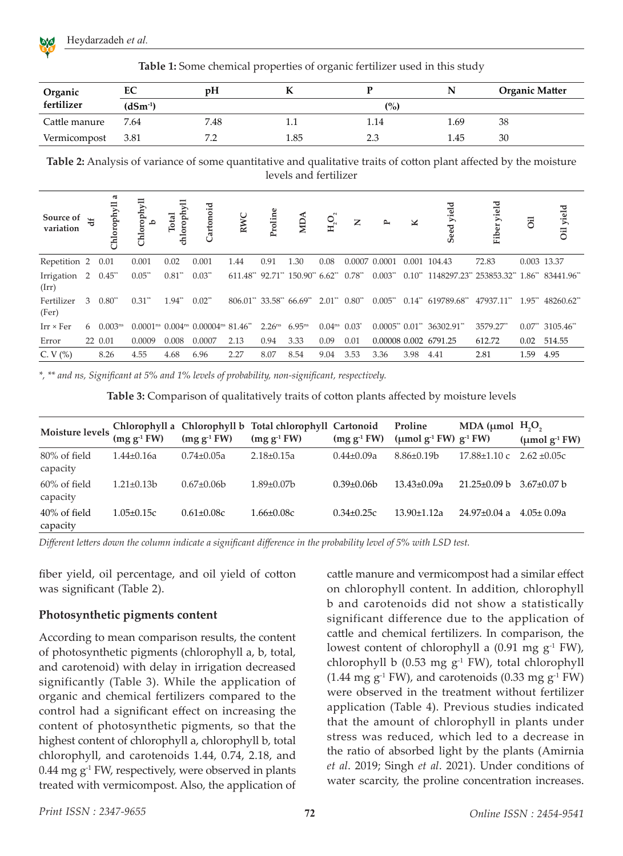

| Organic       | EC           | рH   |      |      | N    | <b>Organic Matter</b> |  |
|---------------|--------------|------|------|------|------|-----------------------|--|
| fertilizer    | $(dSm^{-1})$ |      |      | (%)  |      |                       |  |
| Cattle manure | 7.64         | 7.48 | 1.1  | 1.14 | 1.69 | 38                    |  |
| Vermicompost  | 3.81         |      | 1.85 | 2.3  | 1.45 | 30                    |  |

**Table 1:** Some chemical properties of organic fertilizer used in this study

**Table 2:** Analysis of variance of some quantitative and qualitative traits of cotton plant affected by the moisture levels and fertilizer

| Source of $\frac{1}{6}$<br>variation |   | ಡ<br>orophyll  | Chlorophyll          | chloroph<br>Total | Cartonoid                                                                   | RWC                                | Proline            | <b>NUM</b>  | $H_2O_2$             | $\mathbf{Z}$  | $\rightarrow$ |                      | eed yield<br>S                                     | yield<br>Fiber | öil         | Oil yield            |
|--------------------------------------|---|----------------|----------------------|-------------------|-----------------------------------------------------------------------------|------------------------------------|--------------------|-------------|----------------------|---------------|---------------|----------------------|----------------------------------------------------|----------------|-------------|----------------------|
| Repetition 2                         |   | 0.01           | 0.001                | 0.02              | 0.001                                                                       | 1.44                               | 0.91               | 1.30        | 0.08                 | 0.0007 0.0001 |               | 0.001                | 104.43                                             | 72.83          | 0.003 13.37 |                      |
| Irrigation 2 0.45**<br>(Irr)         |   |                | $0.05**$             | $0.81^{**}$       | $0.03**$                                                                    | $611.48^*$ 92.71" $150.90^*$ 6.62" |                    |             |                      | $0.78**$      | $0.003**$     |                      | $0.10^{**}$ 1148297.23* 253853.32* 1.86* 83441.96* |                |             |                      |
| Fertilizer<br>(Fer)                  | 3 | $0.80**$       | $0.31$ <sup>**</sup> | $1.94**$          | $0.02^{**}$                                                                 | 806.01** 33.58** 66.69**           |                    |             | $2.01**$             | $0.80**$      | $0.005**$     | $0.14$ <sup>**</sup> | 619789.68**                                        | 47937.11**     | $1.95***$   | 48260.62**           |
| $Irr \times Fer$                     |   | 6 $0.003^{ns}$ |                      |                   | $0.0001^{ns}$ 0.004 <sup>ns</sup> 0.00004 <sup>ns</sup> 81.46 <sup>**</sup> |                                    | 2.26 <sup>ns</sup> | $6.95^{ns}$ | $0.04^{ns}$ $0.03^*$ |               |               |                      | $0.0005^{**}$ $0.01^{**}$ 36302.91 <sup>**</sup>   | 3579.27**      |             | $0.07^{**}$ 3105.46* |
| Error                                |   | 22 0.01        | 0.0009               | 0.008             | 0.0007                                                                      | 2.13                               | 0.94               | 3.33        | 0.09                 | 0.01          |               |                      | 0.00008 0.002 6791.25                              | 612.72         | 0.02        | 514.55               |
| C. $V$ (%)                           |   | 8.26           | 4.55                 | 4.68              | 6.96                                                                        | 2.27                               | 8.07               | 8.54        | 9.04                 | 3.53          | 3.36          | 3.98                 | 4.41                                               | 2.81           | 1.59        | 4.95                 |

*\*, \*\* and ns, Significant at 5% and 1% levels of probability, non-significant, respectively.*

**Table 3:** Comparison of qualitatively traits of cotton plants affected by moisture levels

| Moisture levels             | $(mg g-1 FW)$    | $(mg g-1 FW)$     | Chlorophyll a Chlorophyll b Total chlorophyll Cartonoid<br>$(mg g-1 FW)$ | $(mg g-1 FW)$  | Proline<br>(µmol $g-1$ FW) $g-1$ FW) | MDA ( $\mu$ mol H <sub>2</sub> O <sub>2</sub> | $(\mu \text{mol g}^{-1} \text{FW})$ |
|-----------------------------|------------------|-------------------|--------------------------------------------------------------------------|----------------|--------------------------------------|-----------------------------------------------|-------------------------------------|
| 80% of field<br>capacity    | $1.44 \pm 0.16a$ | $0.74 \pm 0.05a$  | $2.18 \pm 0.15a$                                                         | $0.44 + 0.09a$ | $8.86\pm0.19b$                       | $17.88 \pm 1.10$ c                            | $2.62 + 0.05c$                      |
| $60\%$ of field<br>capacity | $1.21 \pm 0.13$  | $0.67 \pm 0.06 b$ | $1.89\pm0.07b$                                                           | $0.39\pm0.06b$ | $13.43\pm0.09a$                      | $21.25 \pm 0.09$ b                            | $3.67 \pm 0.07$ b                   |
| $40\%$ of field<br>capacity | $1.05 \pm 0.15c$ | $0.61 \pm 0.08c$  | $1.66 \pm 0.08c$                                                         | $0.34\pm0.25c$ | $13.90 + 1.12a$                      | $24.97+0.04a$                                 | $4.05 + 0.09a$                      |

*Different letters down the column indicate a significant difference in the probability level of 5% with LSD test.*

fiber yield, oil percentage, and oil yield of cotton was significant (Table 2).

#### **Photosynthetic pigments content**

According to mean comparison results, the content of photosynthetic pigments (chlorophyll a, b, total, and carotenoid) with delay in irrigation decreased significantly (Table 3). While the application of organic and chemical fertilizers compared to the control had a significant effect on increasing the content of photosynthetic pigments, so that the highest content of chlorophyll a, chlorophyll b, total chlorophyll, and carotenoids 1.44, 0.74, 2.18, and  $0.44$  mg  $g<sup>-1</sup>$  FW, respectively, were observed in plants treated with vermicompost. Also, the application of cattle manure and vermicompost had a similar effect on chlorophyll content. In addition, chlorophyll b and carotenoids did not show a statistically significant difference due to the application of cattle and chemical fertilizers. In comparison, the lowest content of chlorophyll a  $(0.91 \text{ mg g}^{-1} \text{FW})$ , chlorophyll b  $(0.53 \text{ mg g}^{-1} \text{ FW})$ , total chlorophyll  $(1.44 \text{ mg g}^{-1} \text{ FW})$ , and carotenoids  $(0.33 \text{ mg g}^{-1} \text{ FW})$ were observed in the treatment without fertilizer application (Table 4). Previous studies indicated that the amount of chlorophyll in plants under stress was reduced, which led to a decrease in the ratio of absorbed light by the plants (Amirnia *et al*. 2019; Singh *et al*. 2021). Under conditions of water scarcity, the proline concentration increases.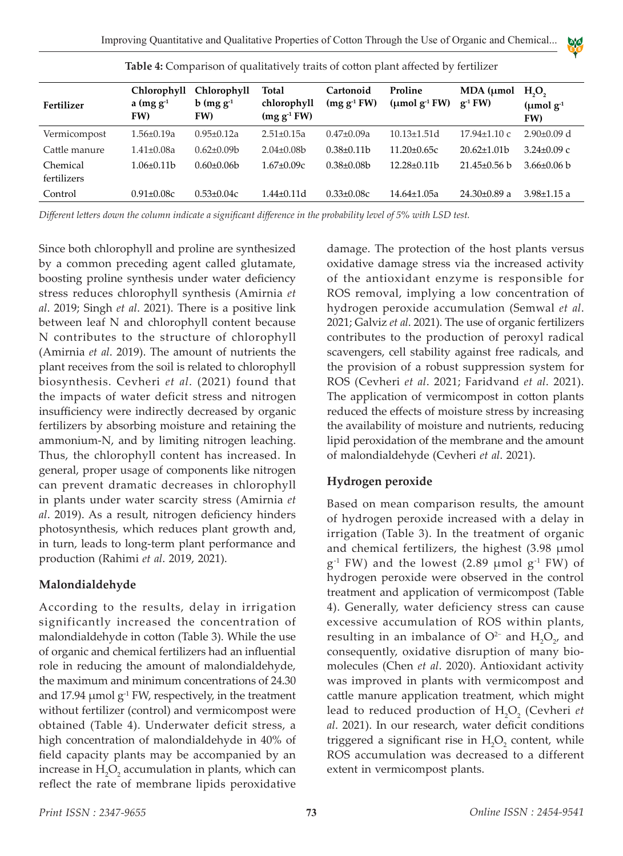

|                         | Chlorophyll         | Chlorophyll             | Total                        | Cartonoid         | Proline            | $MDA$ ( $µmol$     | H <sub>2</sub> O <sub>2</sub>    |  |
|-------------------------|---------------------|-------------------------|------------------------------|-------------------|--------------------|--------------------|----------------------------------|--|
| Fertilizer              | a $(mg g-1)$<br>FW) | $b$ (mg $g^{-1}$<br>FW) | chlorophyll<br>$(mg g-1 FW)$ | $(mg g-1 FW)$     | (umol $g^{-1}$ FW) | $g^{-1}$ FW)       | $(\mu \text{mol g}^{-1})$<br>FW) |  |
| Vermicompost            | $1.56 \pm 0.19a$    | $0.95 \pm 0.12a$        | $2.51 \pm 0.15a$             | $0.47 \pm 0.09a$  | $10.13 \pm 1.51 d$ | $17.94 \pm 1.10$ c | $2.90\pm0.09$ d                  |  |
| Cattle manure           | $1.41 \pm 0.08a$    | $0.62 + 0.09$           | $2.04\pm0.08b$               | $0.38\pm0.11b$    | $11.20 + 0.65c$    | $20.62 + 1.01b$    | $3.24 \pm 0.09$ c                |  |
| Chemical<br>fertilizers | $1.06\pm0.11b$      | $0.60 \pm 0.06$         | $1.67 \pm 0.09c$             | $0.38 \pm 0.08 b$ | $12.28 \pm 0.11$   | $21.45\pm0.56$ b   | $3.66\pm0.06$ b                  |  |
| Control                 | $0.91 \pm 0.08c$    | $0.53 \pm 0.04c$        | $1.44 \pm 0.11 d$            | $0.33 \pm 0.08c$  | $14.64 \pm 1.05a$  | $24.30\pm0.89$ a   | $3.98 \pm 1.15$ a                |  |

**Table 4:** Comparison of qualitatively traits of cotton plant affected by fertilizer

*Different letters down the column indicate a significant difference in the probability level of 5% with LSD test.*

Since both chlorophyll and proline are synthesized by a common preceding agent called glutamate, boosting proline synthesis under water deficiency stress reduces chlorophyll synthesis (Amirnia *et al*. 2019; Singh *et al*. 2021). There is a positive link between leaf N and chlorophyll content because N contributes to the structure of chlorophyll (Amirnia *et al*. 2019). The amount of nutrients the plant receives from the soil is related to chlorophyll biosynthesis. Cevheri *et al*. (2021) found that the impacts of water deficit stress and nitrogen insufficiency were indirectly decreased by organic fertilizers by absorbing moisture and retaining the ammonium-N, and by limiting nitrogen leaching. Thus, the chlorophyll content has increased. In general, proper usage of components like nitrogen can prevent dramatic decreases in chlorophyll in plants under water scarcity stress (Amirnia *et al*. 2019). As a result, nitrogen deficiency hinders photosynthesis, which reduces plant growth and, in turn, leads to long-term plant performance and production (Rahimi *et al*. 2019, 2021).

## **Malondialdehyde**

According to the results, delay in irrigation significantly increased the concentration of malondialdehyde in cotton (Table 3). While the use of organic and chemical fertilizers had an influential role in reducing the amount of malondialdehyde, the maximum and minimum concentrations of 24.30 and 17.94  $\mu$ mol g<sup>-1</sup> FW, respectively, in the treatment without fertilizer (control) and vermicompost were obtained (Table 4). Underwater deficit stress, a high concentration of malondialdehyde in 40% of field capacity plants may be accompanied by an increase in  $H_2O_2$  accumulation in plants, which can reflect the rate of membrane lipids peroxidative

damage. The protection of the host plants versus oxidative damage stress via the increased activity of the antioxidant enzyme is responsible for ROS removal, implying a low concentration of hydrogen peroxide accumulation (Semwal *et al*. 2021; Galviz *et al*. 2021). The use of organic fertilizers contributes to the production of peroxyl radical scavengers, cell stability against free radicals, and the provision of a robust suppression system for ROS (Cevheri *et al*. 2021; Faridvand *et al*. 2021). The application of vermicompost in cotton plants reduced the effects of moisture stress by increasing the availability of moisture and nutrients, reducing lipid peroxidation of the membrane and the amount of malondialdehyde (Cevheri *et al*. 2021).

## **Hydrogen peroxide**

Based on mean comparison results, the amount of hydrogen peroxide increased with a delay in irrigation (Table 3). In the treatment of organic and chemical fertilizers, the highest (3.98 μmol  $g^{-1}$  FW) and the lowest (2.89 µmol  $g^{-1}$  FW) of hydrogen peroxide were observed in the control treatment and application of vermicompost (Table 4). Generally, water deficiency stress can cause excessive accumulation of ROS within plants, resulting in an imbalance of  $O^{2-}$  and  $H_2O_{2'}$  and consequently, oxidative disruption of many biomolecules (Chen *et al*. 2020). Antioxidant activity was improved in plants with vermicompost and cattle manure application treatment, which might lead to reduced production of H<sub>2</sub>O<sub>2</sub> (Cevheri *et al*. 2021). In our research, water deficit conditions triggered a significant rise in  $H_2O_2$  content, while ROS accumulation was decreased to a different extent in vermicompost plants.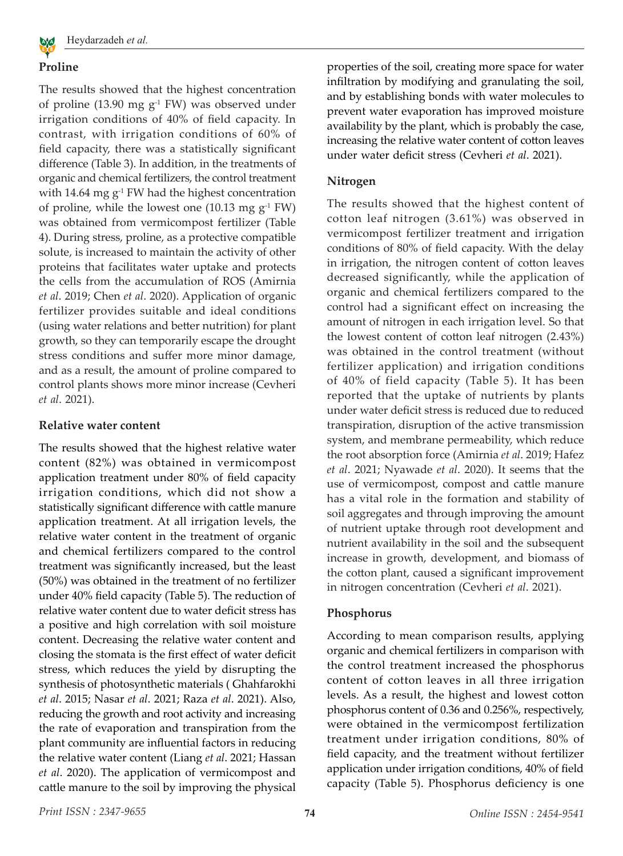

## **Proline**

The results showed that the highest concentration of proline (13.90 mg  $g^{-1}$  FW) was observed under irrigation conditions of 40% of field capacity. In contrast, with irrigation conditions of 60% of field capacity, there was a statistically significant difference (Table 3). In addition, in the treatments of organic and chemical fertilizers, the control treatment with 14.64 mg  $g^{-1}$  FW had the highest concentration of proline, while the lowest one (10.13 mg  $g^{-1}$  FW) was obtained from vermicompost fertilizer (Table 4). During stress, proline, as a protective compatible solute, is increased to maintain the activity of other proteins that facilitates water uptake and protects the cells from the accumulation of ROS (Amirnia *et al*. 2019; Chen *et al*. 2020). Application of organic fertilizer provides suitable and ideal conditions (using water relations and better nutrition) for plant growth, so they can temporarily escape the drought stress conditions and suffer more minor damage, and as a result, the amount of proline compared to control plants shows more minor increase (Cevheri *et al*. 2021).

#### **Relative water content**

The results showed that the highest relative water content (82%) was obtained in vermicompost application treatment under 80% of field capacity irrigation conditions, which did not show a statistically significant difference with cattle manure application treatment. At all irrigation levels, the relative water content in the treatment of organic and chemical fertilizers compared to the control treatment was significantly increased, but the least (50%) was obtained in the treatment of no fertilizer under 40% field capacity (Table 5). The reduction of relative water content due to water deficit stress has a positive and high correlation with soil moisture content. Decreasing the relative water content and closing the stomata is the first effect of water deficit stress, which reduces the yield by disrupting the synthesis of photosynthetic materials ( Ghahfarokhi *et al*. 2015; Nasar *et al*. 2021; Raza *et al*. 2021). Also, reducing the growth and root activity and increasing the rate of evaporation and transpiration from the plant community are influential factors in reducing the relative water content (Liang *et al*. 2021; Hassan *et al*. 2020). The application of vermicompost and cattle manure to the soil by improving the physical

properties of the soil, creating more space for water infiltration by modifying and granulating the soil, and by establishing bonds with water molecules to prevent water evaporation has improved moisture availability by the plant, which is probably the case, increasing the relative water content of cotton leaves under water deficit stress (Cevheri *et al*. 2021).

#### **Nitrogen**

The results showed that the highest content of cotton leaf nitrogen (3.61%) was observed in vermicompost fertilizer treatment and irrigation conditions of 80% of field capacity. With the delay in irrigation, the nitrogen content of cotton leaves decreased significantly, while the application of organic and chemical fertilizers compared to the control had a significant effect on increasing the amount of nitrogen in each irrigation level. So that the lowest content of cotton leaf nitrogen (2.43%) was obtained in the control treatment (without fertilizer application) and irrigation conditions of 40% of field capacity (Table 5). It has been reported that the uptake of nutrients by plants under water deficit stress is reduced due to reduced transpiration, disruption of the active transmission system, and membrane permeability, which reduce the root absorption force (Amirnia *et al*. 2019; Hafez *et al*. 2021; Nyawade *et al*. 2020). It seems that the use of vermicompost, compost and cattle manure has a vital role in the formation and stability of soil aggregates and through improving the amount of nutrient uptake through root development and nutrient availability in the soil and the subsequent increase in growth, development, and biomass of the cotton plant, caused a significant improvement in nitrogen concentration (Cevheri *et al*. 2021).

#### **Phosphorus**

According to mean comparison results, applying organic and chemical fertilizers in comparison with the control treatment increased the phosphorus content of cotton leaves in all three irrigation levels. As a result, the highest and lowest cotton phosphorus content of 0.36 and 0.256%, respectively, were obtained in the vermicompost fertilization treatment under irrigation conditions, 80% of field capacity, and the treatment without fertilizer application under irrigation conditions, 40% of field capacity (Table 5). Phosphorus deficiency is one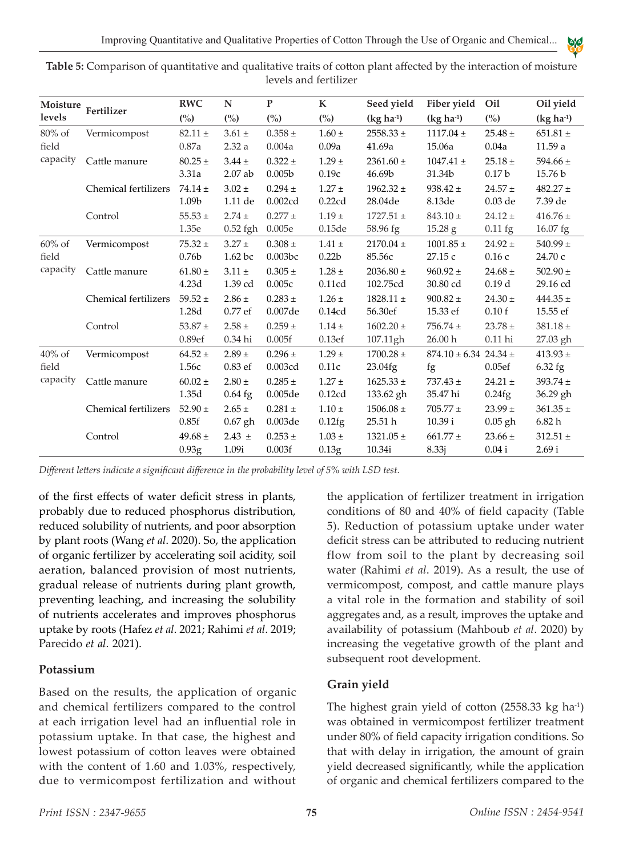| Moisture<br>levels             | Fertilizer           | <b>RWC</b>                       | N                                | ${\bf P}$                         | $\mathbf K$                     | Seed yield                 | Fiber yield                     | Oil                              | Oil yield                |
|--------------------------------|----------------------|----------------------------------|----------------------------------|-----------------------------------|---------------------------------|----------------------------|---------------------------------|----------------------------------|--------------------------|
|                                |                      | (%)                              | (%)                              | (%)                               | $\binom{0}{0}$                  | $(kg ha-1)$                | $(kg ha-1)$                     | (%)                              | $(kg ha-1)$              |
| $80\%$ of<br>field             | Vermicompost         | $82.11 \pm$<br>0.87a             | $3.61 \pm$<br>2.32a              | $0.358 \pm$<br>0.004a             | $1.60 \pm$<br>0.09a             | $2558.33 \pm$<br>41.69a    | $1117.04 \pm$<br>15.06a         | $25.48 \pm$<br>0.04a             | $651.81 \pm$<br>11.59a   |
| capacity                       | Cattle manure        | $80.25 \pm$<br>3.31a             | $3.44 \pm$<br>2.07 ab            | $0.322 \pm$<br>0.005 <sub>b</sub> | $1.29 \pm$<br>0.19c             | $2361.60 \pm$<br>46.69b    | $1047.41 \pm$<br>31.34b         | $25.18 \pm$<br>0.17 <sub>b</sub> | 594.66 $\pm$<br>15.76 b  |
|                                | Chemical fertilizers | $74.14 \pm$<br>1.09b             | $3.02 \pm$<br>1.11 de            | $0.294 \pm$<br>0.002cd            | $1.27 \pm$<br>0.22cd            | $1962.32 \pm$<br>28.04de   | $938.42 \pm$<br>8.13de          | $24.57 \pm$<br>$0.03$ de         | $482.27 \pm$<br>7.39 de  |
|                                | Control              | $55.53 \pm$<br>1.35e             | $2.74 \pm$<br>$0.52$ fgh         | $0.277 \pm$<br>0.005e             | $1.19 +$<br>0.15de              | $1727.51 \pm$<br>58.96 fg  | $843.10 \pm$<br>15.28 g         | $24.12 \pm$<br>$0.11\$ fg        | $416.76 \pm$<br>16.07 fg |
| $60\%$ of<br>field<br>capacity | Vermicompost         | $75.32 \pm$<br>0.76 <sub>b</sub> | $3.27 \pm$<br>1.62 <sub>bc</sub> | $0.308 \pm$<br>0.003bc            | $1.41 \pm$<br>0.22 <sub>b</sub> | $2170.04 \pm$<br>85.56c    | $1001.85 \pm$<br>27.15 c        | $24.92 \pm$<br>0.16c             | $540.99 \pm$<br>24.70 с  |
|                                | Cattle manure        | $61.80 \pm$<br>4.23d             | $3.11 \pm$<br>1.39 cd            | $0.305 \pm$<br>0.005c             | $1.28 \pm$<br>0.11cd            | $2036.80 \pm$<br>102.75cd  | $960.92 \pm$<br>30.80 cd        | $24.68 \pm$<br>0.19d             | 502.90 $\pm$<br>29.16 cd |
|                                | Chemical fertilizers | $59.52 \pm$<br>1.28d             | $2.86 \pm$<br>0.77 ef            | $0.283 \pm$<br>0.007de            | $1.26 \pm$<br>0.14cd            | $1828.11 \pm$<br>56.30ef   | $900.82 \pm$<br>15.33 ef        | $24.30 \pm$<br>0.10f             | $444.35 \pm$<br>15.55 ef |
|                                | Control              | 53.87 $\pm$<br>0.89ef            | $2.58 \pm$<br>0.34 hi            | $0.259 \pm$<br>0.005f             | $1.14 \pm$<br>0.13ef            | $1602.20 \pm$<br>107.11gh  | $756.74 \pm$<br>26.00 h         | $23.78 \pm$<br>$0.11$ hi         | $381.18 \pm$<br>27.03 gh |
| $40\%$ of<br>field             | Vermicompost         | $64.52 \pm$<br>1.56с             | $2.89 \pm$<br>$0.83$ ef          | $0.296 \pm$<br>0.003cd            | $1.29 \pm$<br>0.11c             | $1700.28 \pm$<br>23.04fg   | $874.10 \pm 6.34$ 24.34 ±<br>fg | 0.05ef                           | $413.93 \pm$<br>6.32 fg  |
| capacity                       | Cattle manure        | $60.02 \pm$<br>1.35d             | $2.80 \pm$<br>$0.64$ fg          | $0.285 \pm$<br>0.005de            | $1.27 \pm$<br>0.12cd            | $1625.33 \pm$<br>133.62 gh | $737.43 \pm$<br>35.47 hi        | $24.21 \pm$<br>0.24fg            | $393.74 \pm$<br>36.29 gh |
|                                | Chemical fertilizers | 52.90 $\pm$<br>0.85f             | $2.65 \pm$<br>$0.67$ gh          | $0.281 \pm$<br>0.003de            | $1.10 \pm$<br>0.12fg            | $1506.08 \pm$<br>25.51 h   | $705.77 \pm$<br>10.39 i         | $23.99 \pm$<br>$0.05$ gh         | $361.35 \pm$<br>6.82 h   |
|                                | Control              | 49.68 $\pm$<br>0.93 <sub>g</sub> | $2.43 \pm$<br>1.09i              | $0.253 \pm$<br>0.003f             | $1.03 \pm$<br>0.13 <sub>g</sub> | $1321.05 \pm$<br>10.34i    | $661.77 \pm$<br>8.33j           | $23.66 \pm$<br>$0.04$ i          | $312.51 \pm$<br>2.69 i   |

**Table 5:** Comparison of quantitative and qualitative traits of cotton plant affected by the interaction of moisture levels and fertilizer

*Different letters indicate a significant difference in the probability level of 5% with LSD test.*

of the first effects of water deficit stress in plants, probably due to reduced phosphorus distribution, reduced solubility of nutrients, and poor absorption by plant roots (Wang *et al*. 2020). So, the application of organic fertilizer by accelerating soil acidity, soil aeration, balanced provision of most nutrients, gradual release of nutrients during plant growth, preventing leaching, and increasing the solubility of nutrients accelerates and improves phosphorus uptake by roots (Hafez *et al*. 2021; Rahimi *et al*. 2019; Parecido *et al*. 2021).

#### **Potassium**

Based on the results, the application of organic and chemical fertilizers compared to the control at each irrigation level had an influential role in potassium uptake. In that case, the highest and lowest potassium of cotton leaves were obtained with the content of 1.60 and 1.03%, respectively, due to vermicompost fertilization and without

the application of fertilizer treatment in irrigation conditions of 80 and 40% of field capacity (Table 5). Reduction of potassium uptake under water deficit stress can be attributed to reducing nutrient flow from soil to the plant by decreasing soil water (Rahimi *et al*. 2019). As a result, the use of vermicompost, compost, and cattle manure plays a vital role in the formation and stability of soil aggregates and, as a result, improves the uptake and availability of potassium (Mahboub *et al*. 2020) by increasing the vegetative growth of the plant and subsequent root development.

#### **Grain yield**

The highest grain yield of cotton  $(2558.33 \text{ kg ha}^{-1})$ was obtained in vermicompost fertilizer treatment under 80% of field capacity irrigation conditions. So that with delay in irrigation, the amount of grain yield decreased significantly, while the application of organic and chemical fertilizers compared to the

AY A E Y B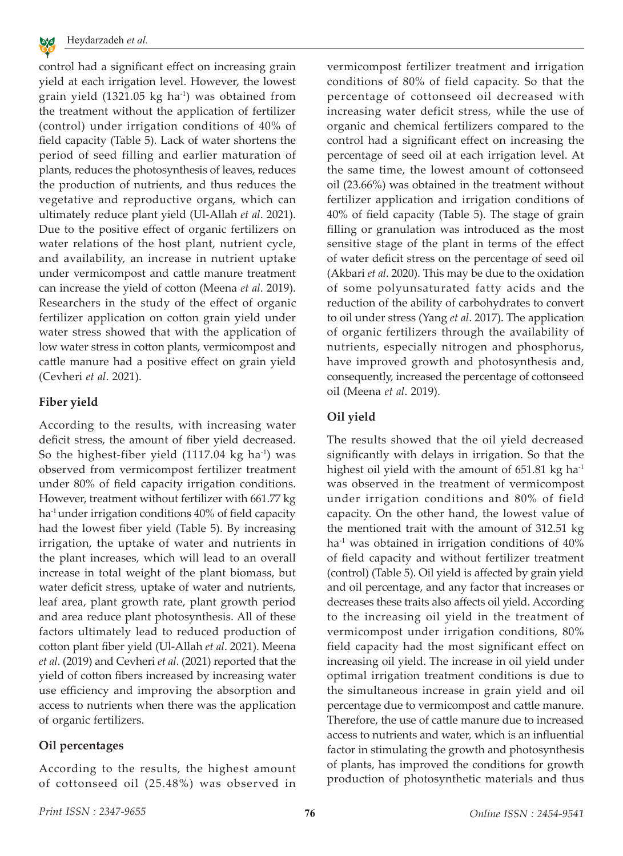

control had a significant effect on increasing grain yield at each irrigation level. However, the lowest grain yield  $(1321.05 \text{ kg ha}^{-1})$  was obtained from the treatment without the application of fertilizer (control) under irrigation conditions of 40% of field capacity (Table 5). Lack of water shortens the period of seed filling and earlier maturation of plants, reduces the photosynthesis of leaves, reduces the production of nutrients, and thus reduces the vegetative and reproductive organs, which can ultimately reduce plant yield (Ul-Allah *et al*. 2021). Due to the positive effect of organic fertilizers on water relations of the host plant, nutrient cycle, and availability, an increase in nutrient uptake under vermicompost and cattle manure treatment can increase the yield of cotton (Meena *et al*. 2019). Researchers in the study of the effect of organic fertilizer application on cotton grain yield under water stress showed that with the application of low water stress in cotton plants, vermicompost and cattle manure had a positive effect on grain yield (Cevheri *et al*. 2021).

#### **Fiber yield**

According to the results, with increasing water deficit stress, the amount of fiber yield decreased. So the highest-fiber yield  $(1117.04 \text{ kg} \text{ ha}^{-1})$  was observed from vermicompost fertilizer treatment under 80% of field capacity irrigation conditions. However, treatment without fertilizer with 661.77 kg ha<sup>-1</sup> under irrigation conditions 40% of field capacity had the lowest fiber yield (Table 5). By increasing irrigation, the uptake of water and nutrients in the plant increases, which will lead to an overall increase in total weight of the plant biomass, but water deficit stress, uptake of water and nutrients, leaf area, plant growth rate, plant growth period and area reduce plant photosynthesis. All of these factors ultimately lead to reduced production of cotton plant fiber yield (Ul-Allah *et al*. 2021). Meena *et al*. (2019) and Cevheri *et al*. (2021) reported that the yield of cotton fibers increased by increasing water use efficiency and improving the absorption and access to nutrients when there was the application of organic fertilizers.

## **Oil percentages**

According to the results, the highest amount of cottonseed oil (25.48%) was observed in vermicompost fertilizer treatment and irrigation conditions of 80% of field capacity. So that the percentage of cottonseed oil decreased with increasing water deficit stress, while the use of organic and chemical fertilizers compared to the control had a significant effect on increasing the percentage of seed oil at each irrigation level. At the same time, the lowest amount of cottonseed oil (23.66%) was obtained in the treatment without fertilizer application and irrigation conditions of 40% of field capacity (Table 5). The stage of grain filling or granulation was introduced as the most sensitive stage of the plant in terms of the effect of water deficit stress on the percentage of seed oil (Akbari *et al*. 2020). This may be due to the oxidation of some polyunsaturated fatty acids and the reduction of the ability of carbohydrates to convert to oil under stress (Yang *et al*. 2017). The application of organic fertilizers through the availability of nutrients, especially nitrogen and phosphorus, have improved growth and photosynthesis and, consequently, increased the percentage of cottonseed oil (Meena *et al*. 2019).

## **Oil yield**

The results showed that the oil yield decreased significantly with delays in irrigation. So that the highest oil yield with the amount of  $651.81$  kg ha<sup>-1</sup> was observed in the treatment of vermicompost under irrigation conditions and 80% of field capacity. On the other hand, the lowest value of the mentioned trait with the amount of 312.51 kg  $ha<sup>-1</sup>$  was obtained in irrigation conditions of  $40\%$ of field capacity and without fertilizer treatment (control) (Table 5). Oil yield is affected by grain yield and oil percentage, and any factor that increases or decreases these traits also affects oil yield. According to the increasing oil yield in the treatment of vermicompost under irrigation conditions, 80% field capacity had the most significant effect on increasing oil yield. The increase in oil yield under optimal irrigation treatment conditions is due to the simultaneous increase in grain yield and oil percentage due to vermicompost and cattle manure. Therefore, the use of cattle manure due to increased access to nutrients and water, which is an influential factor in stimulating the growth and photosynthesis of plants, has improved the conditions for growth production of photosynthetic materials and thus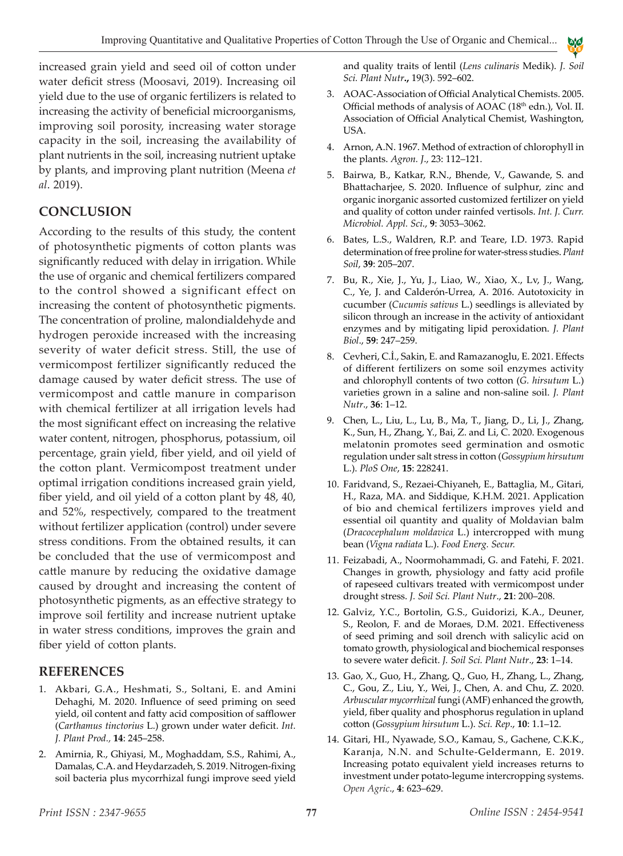increased grain yield and seed oil of cotton under water deficit stress (Moosavi, 2019). Increasing oil yield due to the use of organic fertilizers is related to increasing the activity of beneficial microorganisms, improving soil porosity, increasing water storage capacity in the soil, increasing the availability of plant nutrients in the soil, increasing nutrient uptake by plants, and improving plant nutrition (Meena *et al*. 2019).

# **CONCLUSION**

According to the results of this study, the content of photosynthetic pigments of cotton plants was significantly reduced with delay in irrigation. While the use of organic and chemical fertilizers compared to the control showed a significant effect on increasing the content of photosynthetic pigments. The concentration of proline, malondialdehyde and hydrogen peroxide increased with the increasing severity of water deficit stress. Still, the use of vermicompost fertilizer significantly reduced the damage caused by water deficit stress. The use of vermicompost and cattle manure in comparison with chemical fertilizer at all irrigation levels had the most significant effect on increasing the relative water content, nitrogen, phosphorus, potassium, oil percentage, grain yield, fiber yield, and oil yield of the cotton plant. Vermicompost treatment under optimal irrigation conditions increased grain yield, fiber yield, and oil yield of a cotton plant by 48, 40, and 52%, respectively, compared to the treatment without fertilizer application (control) under severe stress conditions. From the obtained results, it can be concluded that the use of vermicompost and cattle manure by reducing the oxidative damage caused by drought and increasing the content of photosynthetic pigments, as an effective strategy to improve soil fertility and increase nutrient uptake in water stress conditions, improves the grain and fiber yield of cotton plants.

# **REFERENCES**

- 1. Akbari, G.A., Heshmati, S., Soltani, E. and Amini Dehaghi, M. 2020. Influence of seed priming on seed yield, oil content and fatty acid composition of safflower (*Carthamus tinctorius* L.) grown under water deficit. *Int. J. Plant Prod*., **14**: 245–258.
- 2. Amirnia, R., Ghiyasi, M., Moghaddam, S.S., Rahimi, A., Damalas, C.A. and Heydarzadeh, S. 2019. Nitrogen-fixing soil bacteria plus mycorrhizal fungi improve seed yield

and quality traits of lentil (*Lens culinaris* Medik). *J. Soil Sci. Plant Nutr***.,** 19(3). 592–602.

A A E Y B

- 3. AOAC-Association of Official Analytical Chemists. 2005. Official methods of analysis of AOAC (18<sup>th</sup> edn.), Vol. II. Association of Official Analytical Chemist, Washington, USA.
- 4. Arnon, A.N. 1967. Method of extraction of chlorophyll in the plants. *Agron. J*., 23: 112–121.
- 5. Bairwa, B., Katkar, R.N., Bhende, V., Gawande, S. and Bhattacharjee, S. 2020. Influence of sulphur, zinc and organic inorganic assorted customized fertilizer on yield and quality of cotton under rainfed vertisols. *Int. J. Curr. Microbiol. Appl. Sci*., **9**: 3053–3062.
- 6. Bates, L.S., Waldren, R.P. and Teare, I.D. 1973. Rapid determination of free proline for water-stress studies.*Plant Soil*, **39**: 205–207.
- 7. Bu, R., Xie, J., Yu, J., Liao, W., Xiao, X., Lv, J., Wang, C., Ye, J. and Calderón-Urrea, A. 2016. Autotoxicity in cucumber (*Cucumis sativus* L.) seedlings is alleviated by silicon through an increase in the activity of antioxidant enzymes and by mitigating lipid peroxidation. *J. Plant Biol*., **59**: 247–259.
- 8. Cevheri, C.İ., Sakin, E. and Ramazanoglu, E. 2021. Effects of different fertilizers on some soil enzymes activity and chlorophyll contents of two cotton (*G. hirsutum* L.) varieties grown in a saline and non-saline soil. *J. Plant Nutr*., **36**: 1–12.
- 9. Chen, L., Liu, L., Lu, B., Ma, T., Jiang, D., Li, J., Zhang, K., Sun, H., Zhang, Y., Bai, Z. and Li, C. 2020. Exogenous melatonin promotes seed germination and osmotic regulation under salt stress in cotton (*Gossypium hirsutum* L.). *PloS One*, **15**: 228241.
- 10. Faridvand, S., Rezaei-Chiyaneh, E., Battaglia, M., Gitari, H., Raza, MA. and Siddique, K.H.M. 2021. Application of bio and chemical fertilizers improves yield and essential oil quantity and quality of Moldavian balm (*Dracocephalum moldavica* L.) intercropped with mung bean (*Vigna radiata* L.). *Food Energ. Secur.*
- 11. Feizabadi, A., Noormohammadi, G. and Fatehi, F. 2021. Changes in growth, physiology and fatty acid profile of rapeseed cultivars treated with vermicompost under drought stress. *J. Soil Sci. Plant Nutr*., **21**: 200–208.
- 12. Galviz, Y.C., Bortolin, G.S., Guidorizi, K.A., Deuner, S., Reolon, F. and de Moraes, D.M. 2021. Effectiveness of seed priming and soil drench with salicylic acid on tomato growth, physiological and biochemical responses to severe water deficit. *J. Soil Sci. Plant Nutr*., **23**: 1–14.
- 13. Gao, X., Guo, H., Zhang, Q., Guo, H., Zhang, L., Zhang, C., Gou, Z., Liu, Y., Wei, J., Chen, A. and Chu, Z. 2020. *Arbuscular mycorrhizal* fungi (AMF) enhanced the growth, yield, fiber quality and phosphorus regulation in upland cotton (*Gossypium hirsutum* L.). *Sci. Rep*., **10**: 1.1–12.
- 14. Gitari, HI., Nyawade, S.O., Kamau, S., Gachene, C.K.K., Karanja, N.N. and Schulte-Geldermann, E. 2019. Increasing potato equivalent yield increases returns to investment under potato-legume intercropping systems. *Open Agric*., **4**: 623–629.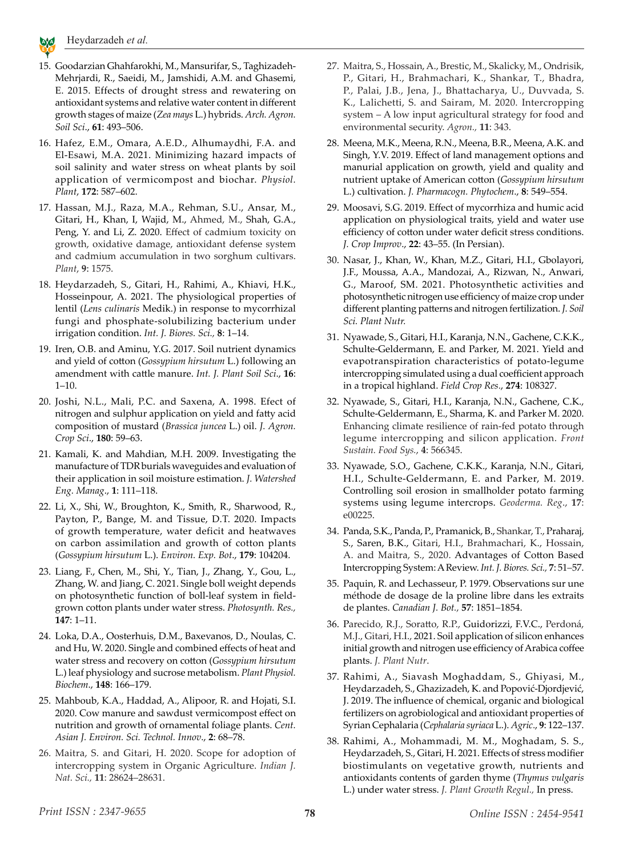

- 15. Goodarzian Ghahfarokhi, M., Mansurifar, S., Taghizadeh-Mehrjardi, R., Saeidi, M., Jamshidi, A.M. and Ghasemi, E. 2015. Effects of drought stress and rewatering on antioxidant systems and relative water content in different growth stages of maize (*Zea mays* L.) hybrids. *Arch. Agron. Soil Sci*., **61**: 493–506.
- 16. Hafez, E.M., Omara, A.E.D., Alhumaydhi, F.A. and El‐Esawi, M.A. 2021. Minimizing hazard impacts of soil salinity and water stress on wheat plants by soil application of vermicompost and biochar. *Physiol. Plant*, **172**: 587–602.
- 17. Hassan, M.J., Raza, M.A., Rehman, S.U., Ansar, M., Gitari, H., Khan, I, Wajid, M., Ahmed, M., Shah, G.A., Peng, Y. and Li, Z. 2020. Effect of cadmium toxicity on growth, oxidative damage, antioxidant defense system and cadmium accumulation in two sorghum cultivars. *Plant*, **9**: 1575.
- 18. Heydarzadeh, S., Gitari, H., Rahimi, A., Khiavi, H.K., Hosseinpour, A. 2021. The physiological properties of lentil (*Lens culinaris* Medik.) in response to mycorrhizal fungi and phosphate-solubilizing bacterium under irrigation condition. *Int. J. Biores. Sci.,* **8**: 1–14.
- 19. Iren, O.B. and Aminu, Y.G. 2017. Soil nutrient dynamics and yield of cotton (*Gossypium hirsutum* L.) following an amendment with cattle manure. *Int. J. Plant Soil Sci*., **16**:  $1 - 10$ .
- 20. Joshi, N.L., Mali, P.C. and Saxena, A. 1998. Efect of nitrogen and sulphur application on yield and fatty acid composition of mustard (*Brassica juncea* L.) oil. *J. Agron. Crop Sci*., **180**: 59–63.
- 21. Kamali, K. and Mahdian, M.H. 2009. Investigating the manufacture of TDR burials waveguides and evaluation of their application in soil moisture estimation. *J. Watershed Eng. Manag*., **1**: 111–118.
- 22. Li, X., Shi, W., Broughton, K., Smith, R., Sharwood, R., Payton, P., Bange, M. and Tissue, D.T. 2020. Impacts of growth temperature, water deficit and heatwaves on carbon assimilation and growth of cotton plants (*Gossypium hirsutum* L.). *Environ. Exp. Bot*., **179**: 104204.
- 23. Liang, F., Chen, M., Shi, Y., Tian, J., Zhang, Y., Gou, L., Zhang, W. and Jiang, C. 2021. Single boll weight depends on photosynthetic function of boll-leaf system in fieldgrown cotton plants under water stress. *Photosynth. Res.,* **147**: 1–11.
- 24. Loka, D.A., Oosterhuis, D.M., Baxevanos, D., Noulas, C. and Hu, W. 2020. Single and combined effects of heat and water stress and recovery on cotton (*Gossypium hirsutum* L.) leaf physiology and sucrose metabolism. *Plant Physiol. Biochem*., **148**: 166–179.
- 25. Mahboub, K.A., Haddad, A., Alipoor, R. and Hojati, S.I. 2020. Cow manure and sawdust vermicompost effect on nutrition and growth of ornamental foliage plants. *Cent. Asian J. Environ. Sci. Technol. Innov*., **2**: 68–78.
- 26. Maitra, S. and Gitari, H. 2020. Scope for adoption of intercropping system in Organic Agriculture. *Indian J. Nat. Sci.,* **11**: 28624–28631.
- 27. Maitra, S., Hossain, A., Brestic, M., Skalicky, M., Ondrisik, P., Gitari, H., Brahmachari, K., Shankar, T., Bhadra, P., Palai, J.B., Jena, J., Bhattacharya, U., Duvvada, S. K., Lalichetti, S. and Sairam, M. 2020. Intercropping system – A low input agricultural strategy for food and environmental security. *Agron.,* **11**: 343.
- 28. Meena, M.K., Meena, R.N., Meena, B.R., Meena, A.K. and Singh, Y.V. 2019. Effect of land management options and manurial application on growth, yield and quality and nutrient uptake of American cotton (*Gossypium hirsutum* L.) cultivation. *J. Pharmacogn. Phytochem*., **8**: 549–554.
- 29. Moosavi, S.G. 2019. Effect of mycorrhiza and humic acid application on physiological traits, yield and water use efficiency of cotton under water deficit stress conditions. *J. Crop Improv*., **22**: 43–55. (In Persian).
- 30. Nasar, J., Khan, W., Khan, M.Z., Gitari, H.I., Gbolayori, J.F., Moussa, A.A., Mandozai, A., Rizwan, N., Anwari, G., Maroof, SM. 2021. Photosynthetic activities and photosynthetic nitrogen use efficiency of maize crop under different planting patterns and nitrogen fertilization. *J. Soil Sci. Plant Nutr.*
- 31. Nyawade, S., Gitari, H.I., Karanja, N.N., Gachene, C.K.K., Schulte-Geldermann, E. and Parker, M. 2021. Yield and evapotranspiration characteristics of potato-legume intercropping simulated using a dual coefficient approach in a tropical highland. *Field Crop Res*., **274**: 108327.
- 32. Nyawade, S., Gitari, H.I., Karanja, N.N., Gachene, C.K., Schulte-Geldermann, E., Sharma, K. and Parker M. 2020. Enhancing climate resilience of rain-fed potato through legume intercropping and silicon application. *Front Sustain. Food Sys.*, **4**: 566345.
- 33. Nyawade, S.O., Gachene, C.K.K., Karanja, N.N., Gitari, H.I., Schulte-Geldermann, E. and Parker, M. 2019. Controlling soil erosion in smallholder potato farming systems using legume intercrops. *Geoderma. Reg*., **17**: e00225.
- 34. Panda, S.K., Panda, P., Pramanick, B., Shankar, T., Praharaj, S., Saren, B.K., Gitari, H.I., Brahmachari, K., Hossain, A. and Maitra, S., 2020. Advantages of Cotton Based Intercropping System: A Review. *Int.J. Biores. Sci.,* **7**: 51–57.
- 35. Paquin, R. and Lechasseur, P. 1979. Observations sur une méthode de dosage de la proline libre dans les extraits de plantes. *Canadian J. Bot.,* **57**: 1851–1854.
- 36. Parecido, R.J., Soratto, R.P., Guidorizzi, F.V.C., Perdoná, M.J., Gitari, H.I., 2021. Soil application of silicon enhances initial growth and nitrogen use efficiency of Arabica coffee plants. *J. Plant Nutr*.
- 37. Rahimi, A., Siavash Moghaddam, S., Ghiyasi, M., Heydarzadeh, S., Ghazizadeh, K. and Popović-Djordjević, J. 2019. The influence of chemical, organic and biological fertilizers on agrobiological and antioxidant properties of Syrian Cephalaria (*Cephalaria syriaca* L.). *Agric*., **9**: 122–137.
- 38. Rahimi, A., Mohammadi, M. M., Moghadam, S. S., Heydarzadeh, S., Gitari, H. 2021. Effects of stress modifier biostimulants on vegetative growth, nutrients and antioxidants contents of garden thyme (*Thymus vulgaris* L.) under water stress. *J. Plant Growth Regul.,* In press.